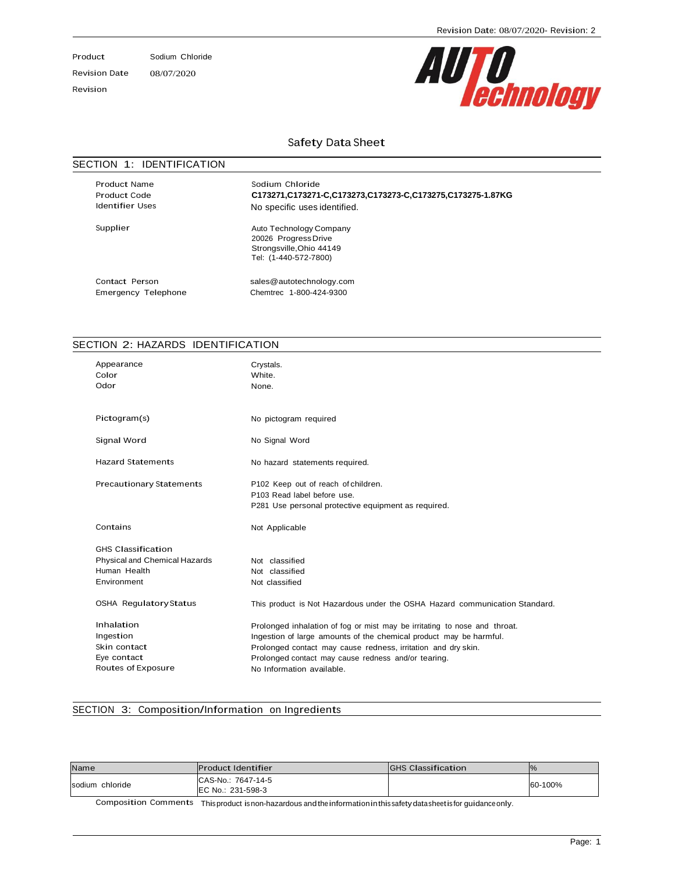Product Sodium Chloride

Revision Date 08/07/2020

Revision

# AUTO<br>*echnology*

#### Safety Data Sheet

#### SECTION 1: IDENTIFICATION

Product Name Product Code Identifier Uses

Sodium Chloride **C173271,C173271-C,C173273,C173273-C,C173275,C173275-1.87KG** No specific uses identified.

Supplier Auto Technology Company 20026 ProgressDrive Strongsville,Ohio 44149 Tel: (1-440-572-7800)

Contact Person [sales@autotechnology.com](mailto:sales@autotechnology.com) Emergency Telephone Chemtrec 1-800-424-9300

#### SECTION 2: HAZARDS IDENTIFICATION

| Appearance<br>Color<br>Odor                                                               | Crystals.<br>White.<br>None.                                                                                                                                                                                                                                                                         |
|-------------------------------------------------------------------------------------------|------------------------------------------------------------------------------------------------------------------------------------------------------------------------------------------------------------------------------------------------------------------------------------------------------|
| Pictogram(s)                                                                              | No pictogram required                                                                                                                                                                                                                                                                                |
| Signal Word                                                                               | No Signal Word                                                                                                                                                                                                                                                                                       |
| <b>Hazard Statements</b>                                                                  | No hazard statements required.                                                                                                                                                                                                                                                                       |
| <b>Precautionary Statements</b>                                                           | P102 Keep out of reach of children.<br>P103 Read label before use.<br>P281 Use personal protective equipment as required.                                                                                                                                                                            |
| Contains                                                                                  | Not Applicable                                                                                                                                                                                                                                                                                       |
| <b>GHS Classification</b><br>Physical and Chemical Hazards<br>Human Health<br>Environment | Not classified<br>Not classified<br>Not classified                                                                                                                                                                                                                                                   |
| <b>OSHA Regulatory Status</b>                                                             | This product is Not Hazardous under the OSHA Hazard communication Standard.                                                                                                                                                                                                                          |
| Inhalation<br>Ingestion<br>Skin contact<br>Eye contact<br>Routes of Exposure              | Prolonged inhalation of fog or mist may be irritating to nose and throat.<br>Ingestion of large amounts of the chemical product may be harmful.<br>Prolonged contact may cause redness, irritation and dry skin.<br>Prolonged contact may cause redness and/or tearing.<br>No Information available. |

#### SECTION 3: Composition/Information on Ingredients

| Name            | <b>Product Identifier</b>               | <b>IGHS Classification</b> |         |
|-----------------|-----------------------------------------|----------------------------|---------|
| sodium chloride | CAS-No.: 7647-14-5<br>EC No.: 231-598-3 |                            | 60-100% |

Composition Comments This product is non-hazardous andtheinformationinthis safetydatasheetis for guidanceonly.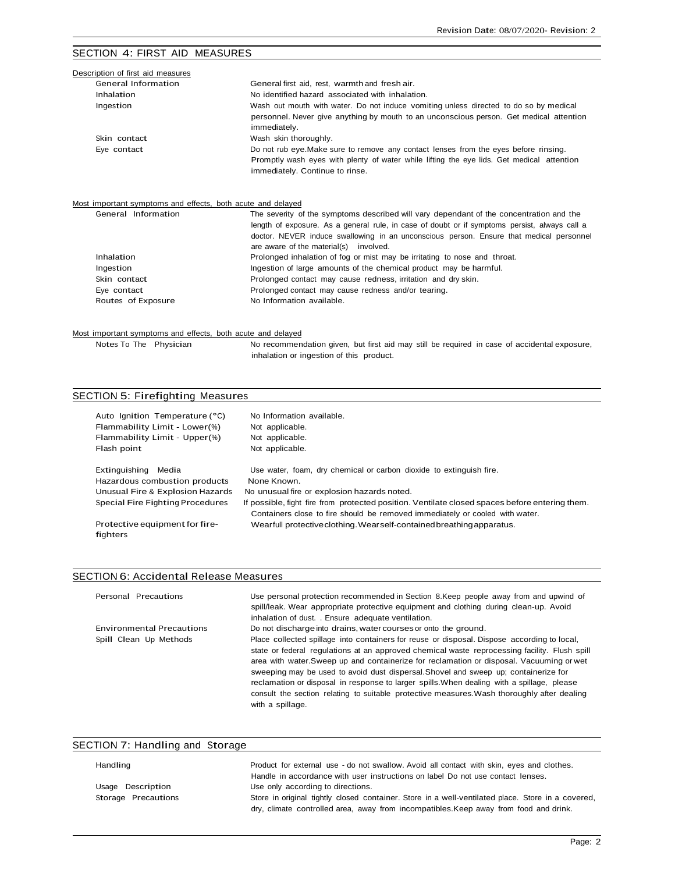#### SECTION 4: FIRST AID MEASURES

| Description of first aid measures                                                  |                                                                                                                                                                                                                                    |
|------------------------------------------------------------------------------------|------------------------------------------------------------------------------------------------------------------------------------------------------------------------------------------------------------------------------------|
| General Information                                                                | General first aid, rest, warmth and fresh air.                                                                                                                                                                                     |
| Inhalation                                                                         | No identified hazard associated with inhalation.                                                                                                                                                                                   |
| Ingestion                                                                          | Wash out mouth with water. Do not induce vomiting unless directed to do so by medical<br>personnel. Never give anything by mouth to an unconscious person. Get medical attention<br>immediately.                                   |
| Skin contact                                                                       | Wash skin thoroughly.                                                                                                                                                                                                              |
| Eye contact                                                                        | Do not rub eye. Make sure to remove any contact lenses from the eyes before rinsing.<br>Promptly wash eyes with plenty of water while lifting the eye lids. Get medical attention<br>immediately. Continue to rinse.               |
| Most important symptoms and effects, both acute and delayed<br>General Information | The severity of the symptoms described will vary dependant of the concentration and the                                                                                                                                            |
|                                                                                    | length of exposure. As a general rule, in case of doubt or if symptoms persist, always call a<br>doctor. NEVER induce swallowing in an unconscious person. Ensure that medical personnel<br>are aware of the material(s) involved. |
| Inhalation                                                                         | Prolonged inhalation of fog or mist may be irritating to nose and throat.                                                                                                                                                          |
| Ingestion                                                                          | Ingestion of large amounts of the chemical product may be harmful.                                                                                                                                                                 |
| Skin contact                                                                       | Prolonged contact may cause redness, irritation and dry skin.                                                                                                                                                                      |
| Eye contact                                                                        | Prolonged contact may cause redness and/or tearing.                                                                                                                                                                                |
| Routes of Exposure                                                                 | No Information available.                                                                                                                                                                                                          |

#### Most important symptoms and effects, both acute and delayed

Notes To The Physician No recommendation given, but first aid may still be required in case of accidental exposure, inhalation or ingestion of this product.

| SECTION 5: Firefighting Measures |  |
|----------------------------------|--|
|                                  |  |

| Auto Ignition Temperature (°C)             | No Information available.                                                                                                                                                      |
|--------------------------------------------|--------------------------------------------------------------------------------------------------------------------------------------------------------------------------------|
| Flammability Limit - Lower(%)              | Not applicable.                                                                                                                                                                |
| Flammability Limit - Upper(%)              | Not applicable.                                                                                                                                                                |
| Flash point                                | Not applicable.                                                                                                                                                                |
| Extinguishing<br>Media                     | Use water, foam, dry chemical or carbon dioxide to extinguish fire.                                                                                                            |
| Hazardous combustion products              | None Known.                                                                                                                                                                    |
| Unusual Fire & Explosion Hazards           | No unusual fire or explosion hazards noted.                                                                                                                                    |
| Special Fire Fighting Procedures           | If possible, fight fire from protected position. Ventilate closed spaces before entering them.<br>Containers close to fire should be removed immediately or cooled with water. |
| Protective equipment for fire-<br>fighters | Wearfull protective clothing. Wearself-contained breathing apparatus.                                                                                                          |

### SECTION 6: Accidental Release Measures

| Personal Precautions             | Use personal protection recommended in Section 8. Keep people away from and upwind of<br>spill/leak. Wear appropriate protective equipment and clothing during clean-up. Avoid<br>inhalation of dust. . Ensure adequate ventilation.                                                                                                                                                                                                                                                                                                                                                             |
|----------------------------------|--------------------------------------------------------------------------------------------------------------------------------------------------------------------------------------------------------------------------------------------------------------------------------------------------------------------------------------------------------------------------------------------------------------------------------------------------------------------------------------------------------------------------------------------------------------------------------------------------|
| <b>Environmental Precautions</b> | Do not discharge into drains, water courses or onto the ground.                                                                                                                                                                                                                                                                                                                                                                                                                                                                                                                                  |
| Spill Clean Up Methods           | Place collected spillage into containers for reuse or disposal. Dispose according to local,<br>state or federal regulations at an approved chemical waste reprocessing facility. Flush spill<br>area with water. Sweep up and containerize for reclamation or disposal. Vacuuming or wet<br>sweeping may be used to avoid dust dispersal. Shovel and sweep up; containerize for<br>reclamation or disposal in response to larger spills. When dealing with a spillage, please<br>consult the section relating to suitable protective measures. Wash thoroughly after dealing<br>with a spillage. |

# SECTION 7: Handling and Storage

| Handling            | Product for external use - do not swallow. Avoid all contact with skin, eyes and clothes.         |
|---------------------|---------------------------------------------------------------------------------------------------|
|                     | Handle in accordance with user instructions on label Do not use contact lenses.                   |
| Usage Description   | Use only according to directions.                                                                 |
| Storage Precautions | Store in original tightly closed container. Store in a well-ventilated place. Store in a covered, |
|                     | dry, climate controlled area, away from incompatibles. Keep away from food and drink.             |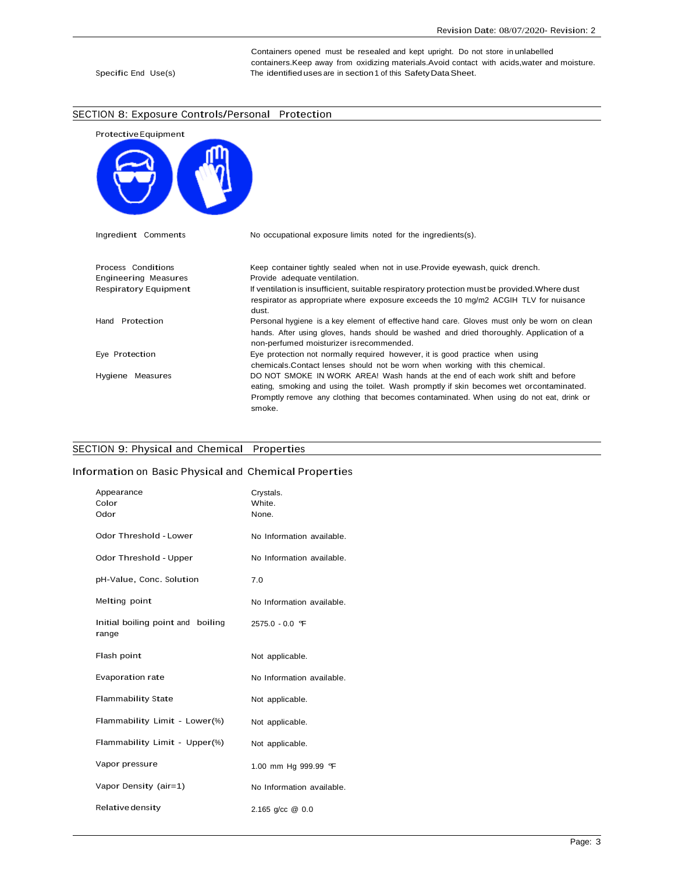Containers opened must be resealed and kept upright. Do not store in unlabelled containers.Keep away from oxidizing materials.Avoid contact with acids,water and moisture. Specific End Use(s) The identified uses are in section 1 of this Safety Data Sheet.

#### SECTION 8: Exposure Controls/Personal Protection



#### SECTION 9: Physical and Chemical Properties

#### Information on Basic Physical and Chemical Properties

| Appearance<br>Color<br>Odor                | Crystals.<br>White.<br>None. |
|--------------------------------------------|------------------------------|
| <b>Odor Threshold - Lower</b>              | No Information available.    |
| Odor Threshold - Upper                     | No Information available.    |
| pH-Value, Conc. Solution                   | 7.0                          |
| Melting point                              | No Information available.    |
| Initial boiling point and boiling<br>range | 2575.0 - 0.0 °F              |
| Flash point                                | Not applicable.              |
| <b>Evaporation rate</b>                    | No Information available.    |
| <b>Flammability State</b>                  | Not applicable.              |
| Flammability Limit - Lower(%)              | Not applicable.              |
| Flammability Limit - Upper(%)              | Not applicable.              |
| Vapor pressure                             | 1.00 mm Hg 999.99 °F         |
| Vapor Density (air=1)                      | No Information available.    |
| Relative density                           | 2.165 $q$ /cc $@$ 0.0        |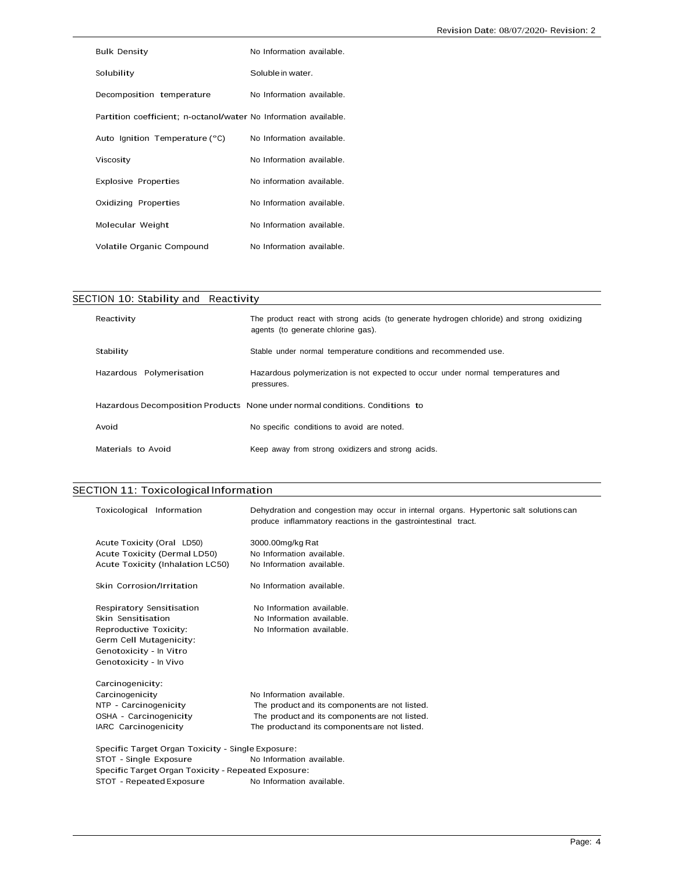| Bulk Density                                                     | No Information available. |
|------------------------------------------------------------------|---------------------------|
| Solubility                                                       | Soluble in water.         |
| Decomposition temperature                                        | No Information available. |
| Partition coefficient; n-octanol/water No Information available. |                           |
| Auto Ignition Temperature (°C)                                   | No Information available. |
| Viscosity                                                        | No Information available. |
| <b>Explosive Properties</b>                                      | No information available. |
| Oxidizing Properties                                             | No Information available. |
| Molecular Weight                                                 | No Information available. |
| Volatile Organic Compound                                        | No Information available. |

| SECTION 10: Stability and Reactivity |                                                                                                                                |
|--------------------------------------|--------------------------------------------------------------------------------------------------------------------------------|
| Reactivity                           | The product react with strong acids (to generate hydrogen chloride) and strong oxidizing<br>agents (to generate chlorine gas). |
| Stability                            | Stable under normal temperature conditions and recommended use.                                                                |
| Hazardous Polymerisation             | Hazardous polymerization is not expected to occur under normal temperatures and<br>pressures.                                  |
|                                      | Hazardous Decomposition Products None under normal conditions. Conditions to                                                   |
| Avoid                                | No specific conditions to avoid are noted.                                                                                     |
| Materials to Avoid                   | Keep away from strong oxidizers and strong acids.                                                                              |

# SECTION 11: Toxicological Information

| Toxicological Information                           | Dehydration and congestion may occur in internal organs. Hypertonic salt solutions can<br>produce inflammatory reactions in the gastrointestinal tract. |
|-----------------------------------------------------|---------------------------------------------------------------------------------------------------------------------------------------------------------|
| Acute Toxicity (Oral LD50)                          | 3000.00mg/kg Rat                                                                                                                                        |
| Acute Toxicity (Dermal LD50)                        | No Information available.                                                                                                                               |
| Acute Toxicity (Inhalation LC50)                    | No Information available.                                                                                                                               |
| Skin Corrosion/Irritation                           | No Information available.                                                                                                                               |
| Respiratory Sensitisation                           | No Information available.                                                                                                                               |
| Skin Sensitisation                                  | No Information available.                                                                                                                               |
| Reproductive Toxicity:                              | No Information available.                                                                                                                               |
| Germ Cell Mutagenicity:                             |                                                                                                                                                         |
| Genotoxicity - In Vitro                             |                                                                                                                                                         |
| Genotoxicity - In Vivo                              |                                                                                                                                                         |
| Carcinogenicity:                                    |                                                                                                                                                         |
| Carcinogenicity                                     | No Information available.                                                                                                                               |
| NTP - Carcinogenicity                               | The product and its components are not listed.                                                                                                          |
| OSHA - Carcinogenicity                              | The product and its components are not listed.                                                                                                          |
| IARC Carcinogenicity                                | The product and its components are not listed.                                                                                                          |
| Specific Target Organ Toxicity - Single Exposure:   |                                                                                                                                                         |
| STOT - Single Exposure                              | No Information available.                                                                                                                               |
| Specific Target Organ Toxicity - Repeated Exposure: |                                                                                                                                                         |
| STOT - Repeated Exposure                            | No Information available.                                                                                                                               |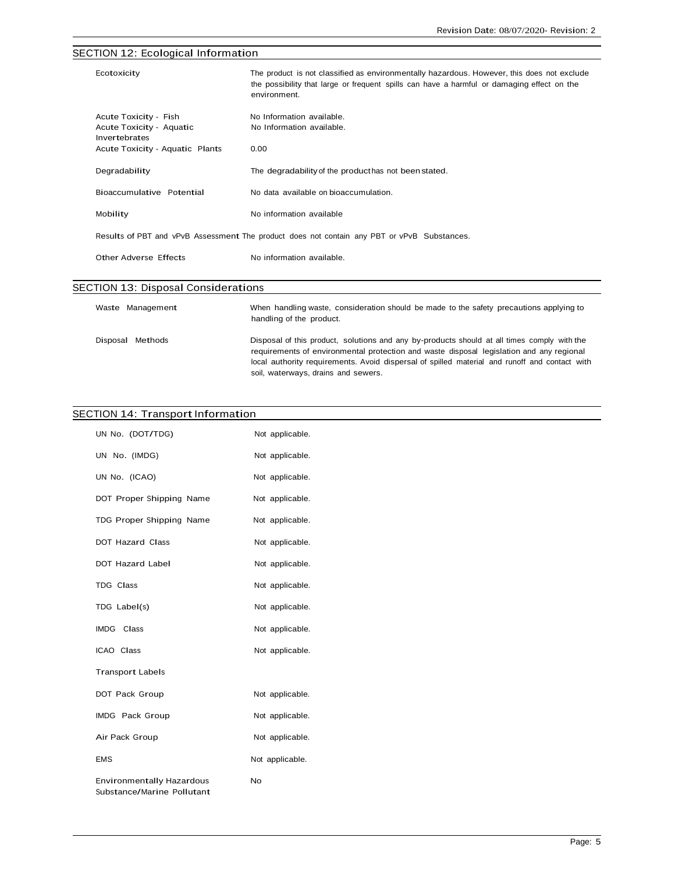# SECTION 12: Ecological Information Ecotoxicity The product is not classified as environmentally hazardous. However, this does not exclude the possibility that large or frequent spills can have a harmful or damaging effect on the environment. Acute Toxicity - Fish No Information available. Acute Toxicity - Aquatic Invertebrates No Information available. Acute Toxicity - Aquatic Plants 0.00 Degradability The degradability of the producthas not beenstated. Bioaccumulative Potential No data available on bioaccumulation. Mobility Mobility No information available Results of PBT and vPvB Assessment The product does not contain any PBT or vPvB Substances. Other Adverse Effects No information available. SECTION 13: Disposal Considerations

| Waste Management | When handling waste, consideration should be made to the safety precautions applying to<br>handling of the product.                                                                                                                                                                                                             |
|------------------|---------------------------------------------------------------------------------------------------------------------------------------------------------------------------------------------------------------------------------------------------------------------------------------------------------------------------------|
| Disposal Methods | Disposal of this product, solutions and any by-products should at all times comply with the<br>requirements of environmental protection and waste disposal legislation and any regional<br>local authority requirements. Avoid dispersal of spilled material and runoff and contact with<br>soil, waterways, drains and sewers. |

#### SECTION 14: Transport Information

| UN No. (DOT/TDG)                                               | Not applicable. |
|----------------------------------------------------------------|-----------------|
| UN No. (IMDG)                                                  | Not applicable. |
| UN No. (ICAO)                                                  | Not applicable. |
| DOT Proper Shipping Name                                       | Not applicable. |
| TDG Proper Shipping Name                                       | Not applicable. |
| DOT Hazard Class                                               | Not applicable. |
| DOT Hazard Label                                               | Not applicable. |
| TDG Class                                                      | Not applicable. |
| TDG Label(s)                                                   | Not applicable. |
| IMDG Class                                                     | Not applicable. |
| ICAO Class                                                     | Not applicable. |
| <b>Transport Labels</b>                                        |                 |
| DOT Pack Group                                                 | Not applicable. |
| IMDG Pack Group                                                | Not applicable. |
| Air Pack Group                                                 | Not applicable. |
| <b>EMS</b>                                                     | Not applicable. |
| <b>Environmentally Hazardous</b><br>Substance/Marine Pollutant | No              |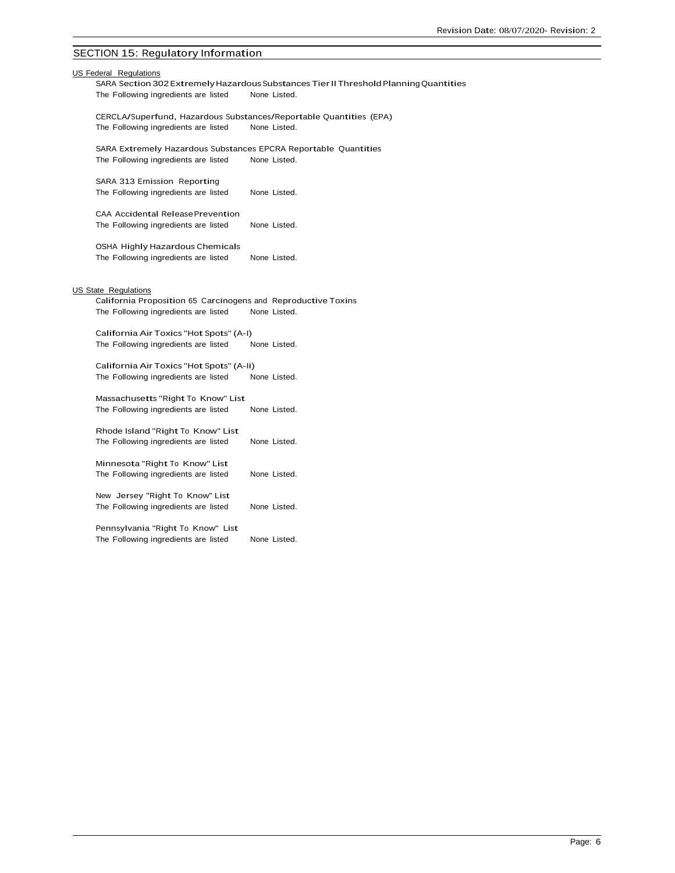# SECTION 15: Regulatory Information

The Following ingredients are listed None Listed.

| US Federal Regulations<br>SARA Section 302 Extremely Hazardous Substances Tier II Threshold Planning Quantities                                      |  |  |  |  |
|------------------------------------------------------------------------------------------------------------------------------------------------------|--|--|--|--|
| The Following ingredients are listed<br>None Listed.                                                                                                 |  |  |  |  |
| CERCLA/Superfund, Hazardous Substances/Reportable Quantities (EPA)<br>The Following ingredients are listed<br>None Listed.                           |  |  |  |  |
| SARA Extremely Hazardous Substances EPCRA Reportable Quantities<br>The Following ingredients are listed<br>None Listed.                              |  |  |  |  |
| SARA 313 Emission Reporting<br>None Listed.<br>The Following ingredients are listed                                                                  |  |  |  |  |
| <b>CAA Accidental ReleasePrevention</b><br>The Following ingredients are listed<br>None Listed.                                                      |  |  |  |  |
| OSHA Highly Hazardous Chemicals<br>The Following ingredients are listed<br>None Listed.                                                              |  |  |  |  |
| <b>US State Regulations</b><br>California Proposition 65 Carcinogens and Reproductive Toxins<br>None Listed.<br>The Following ingredients are listed |  |  |  |  |
| California Air Toxics "Hot Spots" (A-I)<br>The Following ingredients are listed<br>None Listed.                                                      |  |  |  |  |
| California Air Toxics "Hot Spots" (A-li)<br>The Following ingredients are listed<br>None Listed.                                                     |  |  |  |  |
| Massachusetts "Right To Know" List<br>The Following ingredients are listed<br>None Listed.                                                           |  |  |  |  |
| Rhode Island "Right To Know" List<br>The Following ingredients are listed<br>None Listed.                                                            |  |  |  |  |
| Minnesota "Right To Know" List<br>The Following ingredients are listed<br>None Listed.                                                               |  |  |  |  |
| New Jersey "Right To Know" List<br>The Following ingredients are listed<br>None Listed.                                                              |  |  |  |  |
| Pennsylvania "Right To Know" List                                                                                                                    |  |  |  |  |